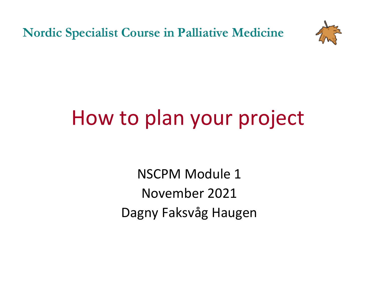**Nordic Specialist Course in Palliative Medicine** 



## How to plan your project

NSCPM Module 1 November 2021 Dagny Faksvåg Haugen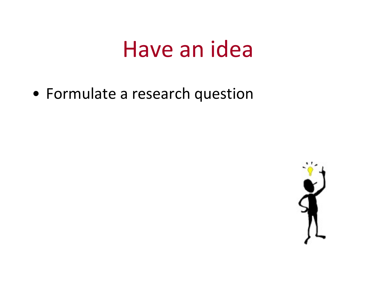### Have an idea

• Formulate a research question

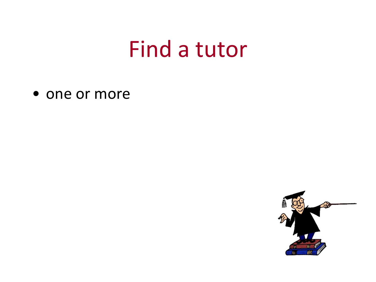#### Find a tutor

• one or more

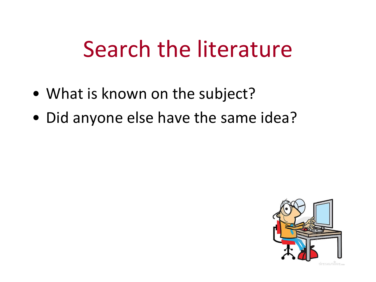## Search the literature

- What is known on the subject?
- Did anyone else have the same idea?

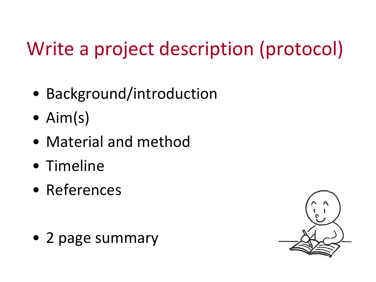### Write a project description (protocol)

- Background/introduction
- Aim(s)
- Material and method
- Timeline
- References

• 2 page summary

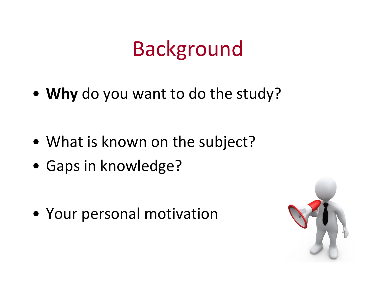### Background

• **Why** do you want to do the study?

- What is known on the subject?
- Gaps in knowledge?

• Your personal motivation

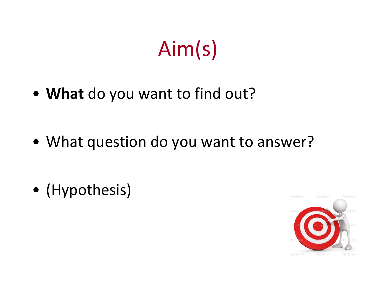# Aim(s)

• **What** do you want to find out?

• What question do you want to answer?

• (Hypothesis)

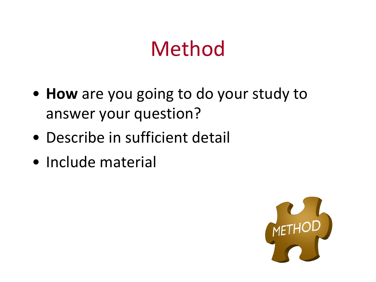### Method

- **How** are you going to do your study to answer your question?
- Describe in sufficient detail
- Include material

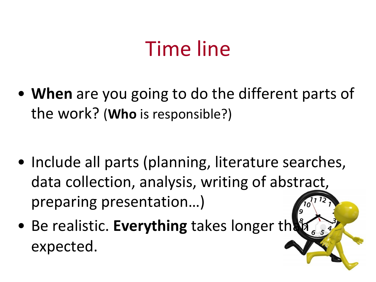### Time line

• **When** are you going to do the different parts of the work? (**Who** is responsible?)

- Include all parts (planning, literature searches, data collection, analysis, writing of abstract, preparing presentation…)
- Be realistic. **Everything** takes longer then expected.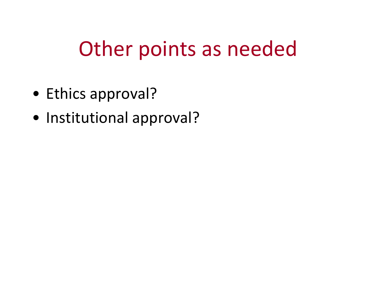### Other points as needed

- Ethics approval?
- Institutional approval?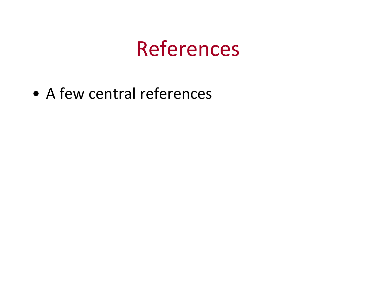#### References

• A few central references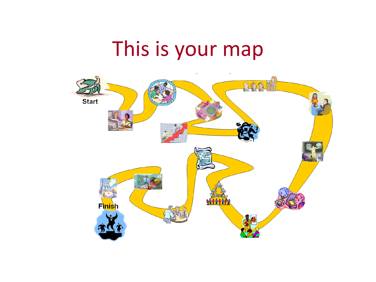### This is your map

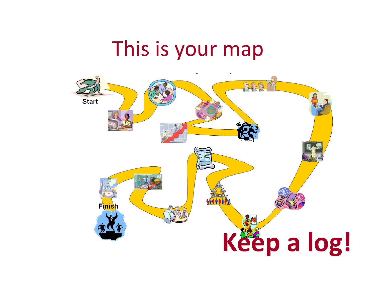### This is your map

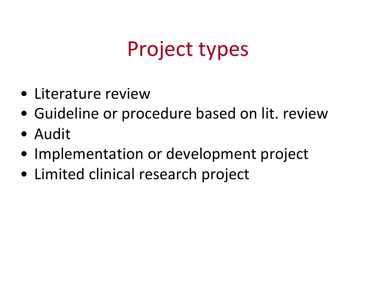### Project types

- Literature review
- Guideline or procedure based on lit. review
- Audit
- Implementation or development project
- Limited clinical research project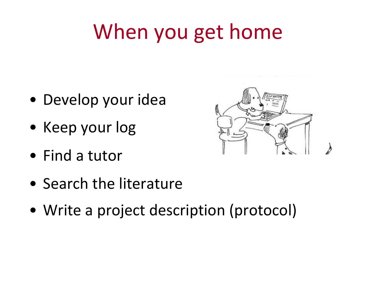## When you get home

- Develop your idea
- Keep your log
- Find a tutor
- Search the literature
- Write a project description (protocol)

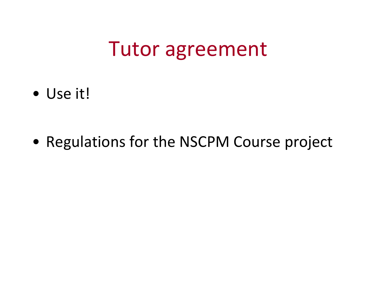#### Tutor agreement

• Use it!

• Regulations for the NSCPM Course project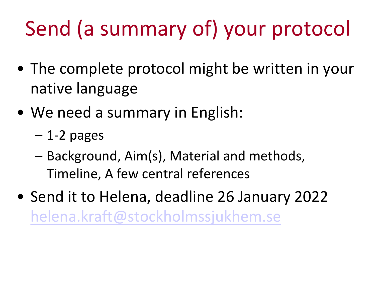# Send (a summary of) your proto

- The complete protocol might be written in native language
- We need a summary in English:
	- $-$  1-2 pages
	- Background, Aim(s), Material and methods, Timeline, A few central references
- Send it to Helena, deadline 26 January 202 helena.kraft@stockholmssjukhem.se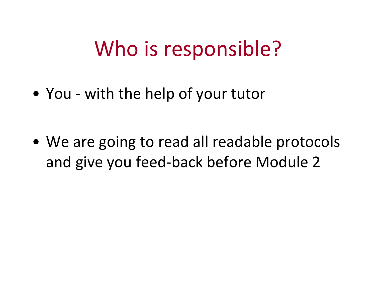#### Who is responsible?

• You - with the help of your tutor

• We are going to read all readable protocols and give you feed-back before Module 2